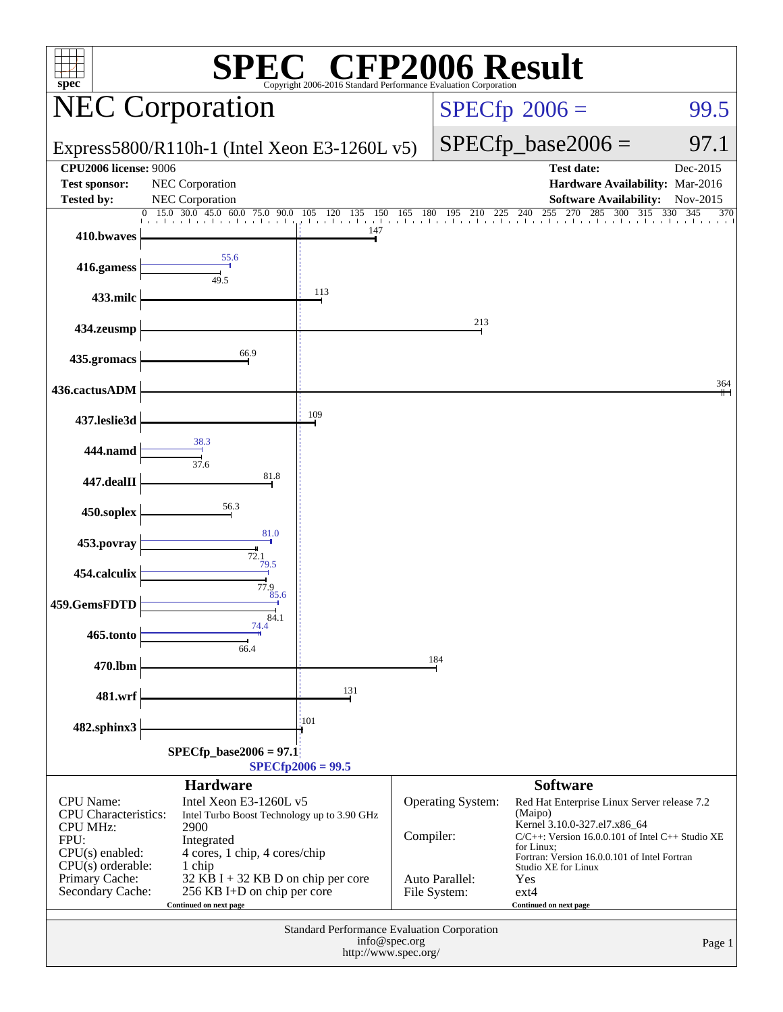| P2006 Result<br>$\bigcup^{\circledR}$ $\bigcap$ $\bigcap$<br>$spec^*$<br>Copyright 2006-2016 Standard Performance Evaluation Corporation                                                                                                                                                                                                                                                                                 |                                    |                                                                                                |            |                                                            |                                                                                                                                                                                                                                                                                                      |                          |
|--------------------------------------------------------------------------------------------------------------------------------------------------------------------------------------------------------------------------------------------------------------------------------------------------------------------------------------------------------------------------------------------------------------------------|------------------------------------|------------------------------------------------------------------------------------------------|------------|------------------------------------------------------------|------------------------------------------------------------------------------------------------------------------------------------------------------------------------------------------------------------------------------------------------------------------------------------------------------|--------------------------|
| <b>NEC Corporation</b>                                                                                                                                                                                                                                                                                                                                                                                                   |                                    |                                                                                                |            |                                                            | $SPECfp^{\circledast}2006 =$                                                                                                                                                                                                                                                                         | 99.5                     |
| Express5800/R110h-1 (Intel Xeon E3-1260L v5)                                                                                                                                                                                                                                                                                                                                                                             |                                    |                                                                                                |            |                                                            | $SPECfp\_base2006 =$                                                                                                                                                                                                                                                                                 | 97.1                     |
| <b>CPU2006 license: 9006</b><br><b>Test sponsor:</b><br><b>Tested by:</b>                                                                                                                                                                                                                                                                                                                                                | NEC Corporation<br>NEC Corporation |                                                                                                |            |                                                            | <b>Test date:</b><br>Hardware Availability: Mar-2016<br><b>Software Availability:</b>                                                                                                                                                                                                                | Dec-2015<br>Nov-2015     |
| 410.bwaves                                                                                                                                                                                                                                                                                                                                                                                                               | $0$ 15.0 30.0 45.0 60.0 75.0 90.0  | 120 135<br>150<br>105<br>147                                                                   | 180<br>165 | 195<br>210<br>225                                          | 255<br>270<br>285<br>300<br>240<br>the collection than the closed and the closed and health altholical in                                                                                                                                                                                            | 345<br>315<br>330<br>370 |
| 416.gamess                                                                                                                                                                                                                                                                                                                                                                                                               | 55.6<br>49.5                       |                                                                                                |            |                                                            |                                                                                                                                                                                                                                                                                                      |                          |
| 433.milc                                                                                                                                                                                                                                                                                                                                                                                                                 |                                    | 113                                                                                            |            |                                                            |                                                                                                                                                                                                                                                                                                      |                          |
| 434.zeusmp                                                                                                                                                                                                                                                                                                                                                                                                               |                                    |                                                                                                |            | 213                                                        |                                                                                                                                                                                                                                                                                                      |                          |
| 435.gromacs                                                                                                                                                                                                                                                                                                                                                                                                              | 66.9                               |                                                                                                |            |                                                            |                                                                                                                                                                                                                                                                                                      |                          |
| 436.cactusADM                                                                                                                                                                                                                                                                                                                                                                                                            |                                    | 109                                                                                            |            |                                                            |                                                                                                                                                                                                                                                                                                      | 364                      |
| 437.leslie3d                                                                                                                                                                                                                                                                                                                                                                                                             | 38.3                               |                                                                                                |            |                                                            |                                                                                                                                                                                                                                                                                                      |                          |
| 444.namd<br>447.dealII                                                                                                                                                                                                                                                                                                                                                                                                   | 37.6<br>81.8                       |                                                                                                |            |                                                            |                                                                                                                                                                                                                                                                                                      |                          |
| 450.soplex                                                                                                                                                                                                                                                                                                                                                                                                               | 56.3                               |                                                                                                |            |                                                            |                                                                                                                                                                                                                                                                                                      |                          |
| 453.povray                                                                                                                                                                                                                                                                                                                                                                                                               | 81.0                               |                                                                                                |            |                                                            |                                                                                                                                                                                                                                                                                                      |                          |
| 454.calculix                                                                                                                                                                                                                                                                                                                                                                                                             | 72.1<br>79.5                       |                                                                                                |            |                                                            |                                                                                                                                                                                                                                                                                                      |                          |
| 459.GemsFDTD                                                                                                                                                                                                                                                                                                                                                                                                             | 77.9<br>85.6                       |                                                                                                |            |                                                            |                                                                                                                                                                                                                                                                                                      |                          |
| 465.tonto                                                                                                                                                                                                                                                                                                                                                                                                                | 84.1<br>74.4<br>66.4               |                                                                                                |            |                                                            |                                                                                                                                                                                                                                                                                                      |                          |
| 470.lbm                                                                                                                                                                                                                                                                                                                                                                                                                  |                                    |                                                                                                |            | 184                                                        |                                                                                                                                                                                                                                                                                                      |                          |
| 481.wrf                                                                                                                                                                                                                                                                                                                                                                                                                  |                                    | 131                                                                                            |            |                                                            |                                                                                                                                                                                                                                                                                                      |                          |
| 482.sphinx3                                                                                                                                                                                                                                                                                                                                                                                                              |                                    | :101                                                                                           |            |                                                            |                                                                                                                                                                                                                                                                                                      |                          |
|                                                                                                                                                                                                                                                                                                                                                                                                                          | $SPECfp\_base2006 = 97.1$          | $SPECfp2006 = 99.5$                                                                            |            |                                                            |                                                                                                                                                                                                                                                                                                      |                          |
| <b>Hardware</b><br>Intel Xeon E3-1260L v5<br><b>CPU</b> Name:<br><b>CPU</b> Characteristics:<br>Intel Turbo Boost Technology up to 3.90 GHz<br><b>CPU MHz:</b><br>2900<br>FPU:<br>Integrated<br>$CPU(s)$ enabled:<br>4 cores, 1 chip, 4 cores/chip<br>$CPU(s)$ orderable:<br>1 chip<br>Primary Cache:<br>32 KB I + 32 KB D on chip per core<br>Secondary Cache:<br>256 KB I+D on chip per core<br>Continued on next page |                                    |                                                                                                | Compiler:  | <b>Operating System:</b><br>Auto Parallel:<br>File System: | <b>Software</b><br>Red Hat Enterprise Linux Server release 7.2<br>(Maipo)<br>Kernel 3.10.0-327.el7.x86_64<br>$C/C++$ : Version 16.0.0.101 of Intel $C++$ Studio XE<br>for Linux;<br>Fortran: Version 16.0.0.101 of Intel Fortran<br>Studio XE for Linux<br>Yes<br>$ext{4}$<br>Continued on next page |                          |
|                                                                                                                                                                                                                                                                                                                                                                                                                          |                                    | Standard Performance Evaluation Corporation<br>info@spec.org<br>Page 1<br>http://www.spec.org/ |            |                                                            |                                                                                                                                                                                                                                                                                                      |                          |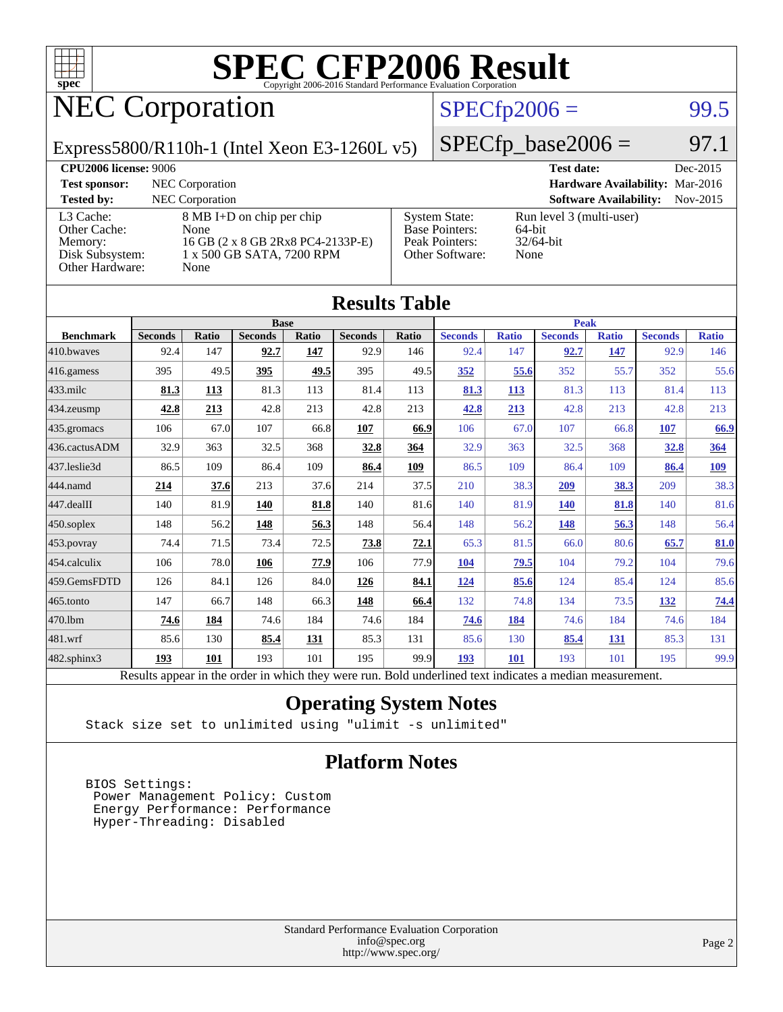

## NEC Corporation

### $SPECfp2006 = 99.5$  $SPECfp2006 = 99.5$

Express5800/R110h-1 (Intel Xeon E3-1260L v5)

 $SPECTp\_base2006 = 97.1$ 

| <b>CPU2006 license: 9006</b>                                               |                                                                                                             |                                                                                    | <b>Test date:</b><br>Dec-2015                                 |
|----------------------------------------------------------------------------|-------------------------------------------------------------------------------------------------------------|------------------------------------------------------------------------------------|---------------------------------------------------------------|
| <b>Test sponsor:</b>                                                       | NEC Corporation                                                                                             |                                                                                    | Hardware Availability: Mar-2016                               |
| <b>Tested by:</b>                                                          | <b>NEC</b> Corporation                                                                                      |                                                                                    | <b>Software Availability:</b><br>Nov-2015                     |
| L3 Cache:<br>Other Cache:<br>Memory:<br>Disk Subsystem:<br>Other Hardware: | 8 MB I+D on chip per chip<br>None<br>16 GB (2 x 8 GB 2Rx8 PC4-2133P-E)<br>1 x 500 GB SATA, 7200 RPM<br>None | <b>System State:</b><br><b>Base Pointers:</b><br>Peak Pointers:<br>Other Software: | Run level 3 (multi-user)<br>$64$ -bit<br>$32/64$ -bit<br>None |

**[Results Table](http://www.spec.org/auto/cpu2006/Docs/result-fields.html#ResultsTable)**

| Results Table                                                                                            |                |       |                |       |                |             |                |              |                |              |                |              |
|----------------------------------------------------------------------------------------------------------|----------------|-------|----------------|-------|----------------|-------------|----------------|--------------|----------------|--------------|----------------|--------------|
|                                                                                                          | <b>Base</b>    |       |                |       |                | <b>Peak</b> |                |              |                |              |                |              |
| <b>Benchmark</b>                                                                                         | <b>Seconds</b> | Ratio | <b>Seconds</b> | Ratio | <b>Seconds</b> | Ratio       | <b>Seconds</b> | <b>Ratio</b> | <b>Seconds</b> | <b>Ratio</b> | <b>Seconds</b> | <b>Ratio</b> |
| 410.bwaves                                                                                               | 92.4           | 147   | 92.7           | 147   | 92.9           | 146         | 92.4           | 147          | 92.7           | 147          | 92.9           | 146          |
| 416.gamess                                                                                               | 395            | 49.5  | 395            | 49.5  | 395            | 49.5        | 352            | 55.6         | 352            | 55.7         | 352            | 55.6         |
| $433$ .milc                                                                                              | 81.3           | 113   | 81.3           | 113   | 81.4           | 113         | 81.3           | 113          | 81.3           | 113          | 81.4           | 113          |
| $434$ . zeusmp                                                                                           | 42.8           | 213   | 42.8           | 213   | 42.8           | 213         | 42.8           | 213          | 42.8           | 213          | 42.8           | 213          |
| $435.$ gromacs                                                                                           | 106            | 67.0  | 107            | 66.8  | 107            | 66.9        | 106            | 67.0         | 107            | 66.8         | 107            | 66.9         |
| 436.cactusADM                                                                                            | 32.9           | 363   | 32.5           | 368   | 32.8           | 364         | 32.9           | 363          | 32.5           | 368          | 32.8           | 364          |
| 437.leslie3d                                                                                             | 86.5           | 109   | 86.4           | 109   | 86.4           | 109         | 86.5           | 109          | 86.4           | 109          | 86.4           | <u>109</u>   |
| 444.namd                                                                                                 | 214            | 37.6  | 213            | 37.6  | 214            | 37.5        | 210            | 38.3         | 209            | 38.3         | 209            | 38.3         |
| $447$ .dealII                                                                                            | 140            | 81.9  | <b>140</b>     | 81.8  | 140            | 81.6        | 140            | 81.9         | <b>140</b>     | 81.8         | 140            | 81.6         |
| $450$ .soplex                                                                                            | 148            | 56.2  | 148            | 56.3  | 148            | 56.4        | 148            | 56.2         | 148            | 56.3         | 148            | 56.4         |
| 453.povray                                                                                               | 74.4           | 71.5  | 73.4           | 72.5  | 73.8           | 72.1        | 65.3           | 81.5         | 66.0           | 80.6         | 65.7           | 81.0         |
| $ 454$ .calculix                                                                                         | 106            | 78.0  | 106            | 77.9  | 106            | 77.9        | 104            | 79.5         | 104            | 79.2         | 104            | 79.6         |
| 459.GemsFDTD                                                                                             | 126            | 84.1  | 126            | 84.0  | 126            | 84.1        | 124            | 85.6         | 124            | 85.4         | 124            | 85.6         |
| $ 465$ .tonto                                                                                            | 147            | 66.7  | 148            | 66.3  | 148            | 66.4        | 132            | 74.8         | 134            | 73.5         | <u>132</u>     | 74.4         |
| 470.1bm                                                                                                  | 74.6           | 184   | 74.6           | 184   | 74.6           | 184         | 74.6           | 184          | 74.6           | 184          | 74.6           | 184          |
| $ 481$ .wrf                                                                                              | 85.6           | 130   | 85.4           | 131   | 85.3           | 131         | 85.6           | 130          | 85.4           | <u>131</u>   | 85.3           | 131          |
| 482.sphinx3                                                                                              | 193            | 101   | 193            | 101   | 195            | 99.9        | 193            | 101          | 193            | 101          | 195            | 99.9         |
| Results appear in the order in which they were run. Bold underlined text indicates a median measurement. |                |       |                |       |                |             |                |              |                |              |                |              |

### **[Operating System Notes](http://www.spec.org/auto/cpu2006/Docs/result-fields.html#OperatingSystemNotes)**

Stack size set to unlimited using "ulimit -s unlimited"

### **[Platform Notes](http://www.spec.org/auto/cpu2006/Docs/result-fields.html#PlatformNotes)**

 BIOS Settings: Power Management Policy: Custom Energy Performance: Performance Hyper-Threading: Disabled

> Standard Performance Evaluation Corporation [info@spec.org](mailto:info@spec.org) <http://www.spec.org/>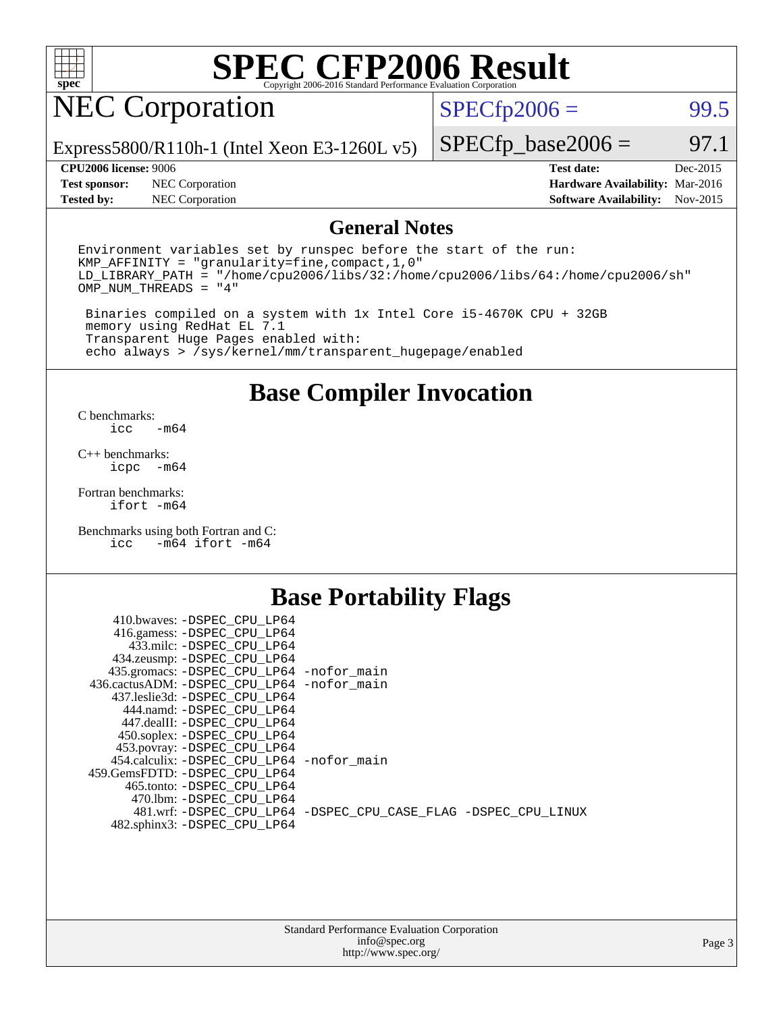

## NEC Corporation

 $SPECTp2006 =$  99.5

Express5800/R110h-1 (Intel Xeon E3-1260L v5)

#### **[CPU2006 license:](http://www.spec.org/auto/cpu2006/Docs/result-fields.html#CPU2006license)** 9006 **[Test date:](http://www.spec.org/auto/cpu2006/Docs/result-fields.html#Testdate)** Dec-2015

**[Tested by:](http://www.spec.org/auto/cpu2006/Docs/result-fields.html#Testedby)** NEC Corporation **[Software Availability:](http://www.spec.org/auto/cpu2006/Docs/result-fields.html#SoftwareAvailability)** Nov-2015

 $SPECTp\_base2006 = 97.1$ 

| <b>UL UZUUU HUURUS</b> , 2000 |                                      | TEST HALE.                      | DUC-2015 |
|-------------------------------|--------------------------------------|---------------------------------|----------|
|                               | <b>Test sponsor:</b> NEC Corporation | Hardware Availability: Mar-2016 |          |
| Tooted hy                     | NECCornorsion                        | Roftware Avoilability: Nov 2015 |          |

### **[General Notes](http://www.spec.org/auto/cpu2006/Docs/result-fields.html#GeneralNotes)**

Environment variables set by runspec before the start of the run: KMP\_AFFINITY = "granularity=fine,compact,1,0" LD\_LIBRARY\_PATH = "/home/cpu2006/libs/32:/home/cpu2006/libs/64:/home/cpu2006/sh" OMP\_NUM\_THREADS = "4"

 Binaries compiled on a system with 1x Intel Core i5-4670K CPU + 32GB memory using RedHat EL 7.1 Transparent Huge Pages enabled with: echo always > /sys/kernel/mm/transparent\_hugepage/enabled

### **[Base Compiler Invocation](http://www.spec.org/auto/cpu2006/Docs/result-fields.html#BaseCompilerInvocation)**

[C benchmarks](http://www.spec.org/auto/cpu2006/Docs/result-fields.html#Cbenchmarks):  $-m64$ 

[C++ benchmarks:](http://www.spec.org/auto/cpu2006/Docs/result-fields.html#CXXbenchmarks) [icpc -m64](http://www.spec.org/cpu2006/results/res2016q1/cpu2006-20160125-38808.flags.html#user_CXXbase_intel_icpc_64bit_bedb90c1146cab66620883ef4f41a67e)

[Fortran benchmarks](http://www.spec.org/auto/cpu2006/Docs/result-fields.html#Fortranbenchmarks): [ifort -m64](http://www.spec.org/cpu2006/results/res2016q1/cpu2006-20160125-38808.flags.html#user_FCbase_intel_ifort_64bit_ee9d0fb25645d0210d97eb0527dcc06e)

[Benchmarks using both Fortran and C](http://www.spec.org/auto/cpu2006/Docs/result-fields.html#BenchmarksusingbothFortranandC): [icc -m64](http://www.spec.org/cpu2006/results/res2016q1/cpu2006-20160125-38808.flags.html#user_CC_FCbase_intel_icc_64bit_0b7121f5ab7cfabee23d88897260401c) [ifort -m64](http://www.spec.org/cpu2006/results/res2016q1/cpu2006-20160125-38808.flags.html#user_CC_FCbase_intel_ifort_64bit_ee9d0fb25645d0210d97eb0527dcc06e)

### **[Base Portability Flags](http://www.spec.org/auto/cpu2006/Docs/result-fields.html#BasePortabilityFlags)**

| 410.bwaves: -DSPEC CPU LP64                 |                                                                |
|---------------------------------------------|----------------------------------------------------------------|
| 416.gamess: -DSPEC_CPU_LP64                 |                                                                |
| 433.milc: -DSPEC CPU LP64                   |                                                                |
| 434.zeusmp: -DSPEC_CPU_LP64                 |                                                                |
| 435.gromacs: -DSPEC_CPU_LP64 -nofor_main    |                                                                |
| 436.cactusADM: -DSPEC CPU LP64 -nofor main  |                                                                |
| 437.leslie3d: -DSPEC CPU LP64               |                                                                |
| 444.namd: -DSPEC CPU LP64                   |                                                                |
| 447.dealII: -DSPEC CPU LP64                 |                                                                |
| 450.soplex: -DSPEC_CPU_LP64                 |                                                                |
| 453.povray: -DSPEC_CPU_LP64                 |                                                                |
| 454.calculix: - DSPEC CPU LP64 - nofor main |                                                                |
| 459. GemsFDTD: - DSPEC CPU LP64             |                                                                |
| 465.tonto: - DSPEC CPU LP64                 |                                                                |
| 470.1bm: - DSPEC CPU LP64                   |                                                                |
|                                             | 481.wrf: -DSPEC CPU_LP64 -DSPEC_CPU_CASE_FLAG -DSPEC_CPU_LINUX |
| 482.sphinx3: -DSPEC_CPU_LP64                |                                                                |
|                                             |                                                                |

| <b>Standard Performance Evaluation Corporation</b> |
|----------------------------------------------------|
| info@spec.org                                      |
| http://www.spec.org/                               |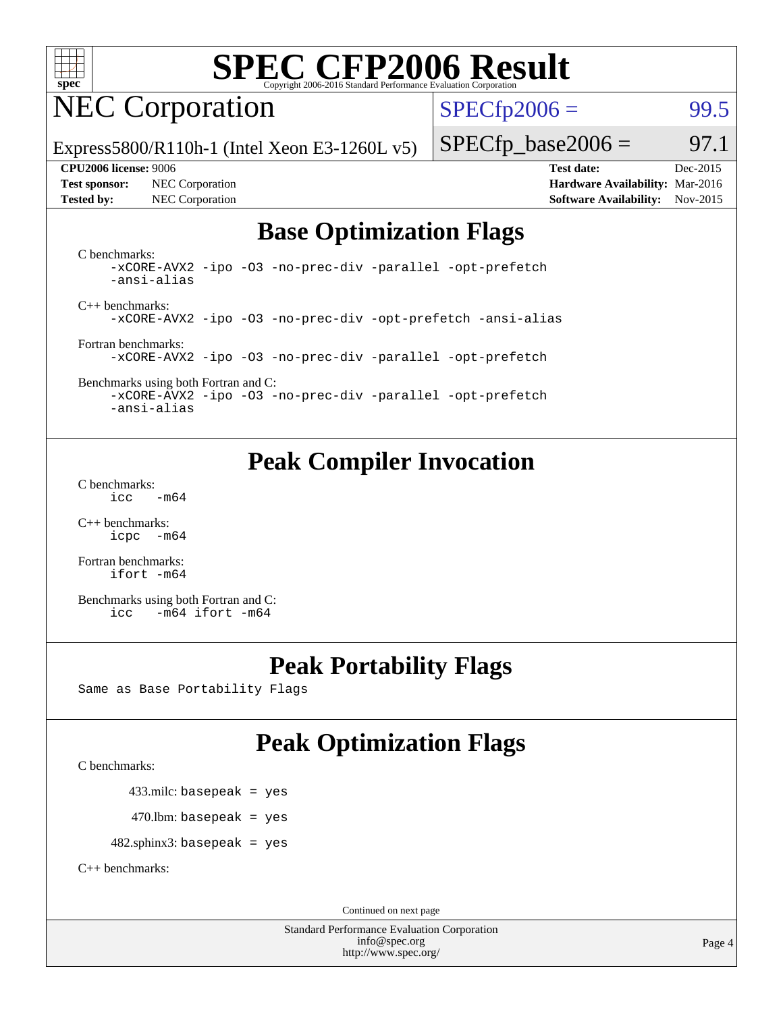

## NEC Corporation

 $SPECTp2006 =$  99.5

Express5800/R110h-1 (Intel Xeon E3-1260L v5)

**[Test sponsor:](http://www.spec.org/auto/cpu2006/Docs/result-fields.html#Testsponsor)** NEC Corporation **[Hardware Availability:](http://www.spec.org/auto/cpu2006/Docs/result-fields.html#HardwareAvailability)** Mar-2016

 $SPECTp\_base2006 = 97.1$ **[CPU2006 license:](http://www.spec.org/auto/cpu2006/Docs/result-fields.html#CPU2006license)** 9006 **[Test date:](http://www.spec.org/auto/cpu2006/Docs/result-fields.html#Testdate)** Dec-2015

**[Tested by:](http://www.spec.org/auto/cpu2006/Docs/result-fields.html#Testedby)** NEC Corporation **[Software Availability:](http://www.spec.org/auto/cpu2006/Docs/result-fields.html#SoftwareAvailability)** Nov-2015

### **[Base Optimization Flags](http://www.spec.org/auto/cpu2006/Docs/result-fields.html#BaseOptimizationFlags)**

[C benchmarks](http://www.spec.org/auto/cpu2006/Docs/result-fields.html#Cbenchmarks): [-xCORE-AVX2](http://www.spec.org/cpu2006/results/res2016q1/cpu2006-20160125-38808.flags.html#user_CCbase_f-xAVX2_5f5fc0cbe2c9f62c816d3e45806c70d7) [-ipo](http://www.spec.org/cpu2006/results/res2016q1/cpu2006-20160125-38808.flags.html#user_CCbase_f-ipo) [-O3](http://www.spec.org/cpu2006/results/res2016q1/cpu2006-20160125-38808.flags.html#user_CCbase_f-O3) [-no-prec-div](http://www.spec.org/cpu2006/results/res2016q1/cpu2006-20160125-38808.flags.html#user_CCbase_f-no-prec-div) [-parallel](http://www.spec.org/cpu2006/results/res2016q1/cpu2006-20160125-38808.flags.html#user_CCbase_f-parallel) [-opt-prefetch](http://www.spec.org/cpu2006/results/res2016q1/cpu2006-20160125-38808.flags.html#user_CCbase_f-opt-prefetch) [-ansi-alias](http://www.spec.org/cpu2006/results/res2016q1/cpu2006-20160125-38808.flags.html#user_CCbase_f-ansi-alias)

[C++ benchmarks:](http://www.spec.org/auto/cpu2006/Docs/result-fields.html#CXXbenchmarks) [-xCORE-AVX2](http://www.spec.org/cpu2006/results/res2016q1/cpu2006-20160125-38808.flags.html#user_CXXbase_f-xAVX2_5f5fc0cbe2c9f62c816d3e45806c70d7) [-ipo](http://www.spec.org/cpu2006/results/res2016q1/cpu2006-20160125-38808.flags.html#user_CXXbase_f-ipo) [-O3](http://www.spec.org/cpu2006/results/res2016q1/cpu2006-20160125-38808.flags.html#user_CXXbase_f-O3) [-no-prec-div](http://www.spec.org/cpu2006/results/res2016q1/cpu2006-20160125-38808.flags.html#user_CXXbase_f-no-prec-div) [-opt-prefetch](http://www.spec.org/cpu2006/results/res2016q1/cpu2006-20160125-38808.flags.html#user_CXXbase_f-opt-prefetch) [-ansi-alias](http://www.spec.org/cpu2006/results/res2016q1/cpu2006-20160125-38808.flags.html#user_CXXbase_f-ansi-alias)

[Fortran benchmarks](http://www.spec.org/auto/cpu2006/Docs/result-fields.html#Fortranbenchmarks): [-xCORE-AVX2](http://www.spec.org/cpu2006/results/res2016q1/cpu2006-20160125-38808.flags.html#user_FCbase_f-xAVX2_5f5fc0cbe2c9f62c816d3e45806c70d7) [-ipo](http://www.spec.org/cpu2006/results/res2016q1/cpu2006-20160125-38808.flags.html#user_FCbase_f-ipo) [-O3](http://www.spec.org/cpu2006/results/res2016q1/cpu2006-20160125-38808.flags.html#user_FCbase_f-O3) [-no-prec-div](http://www.spec.org/cpu2006/results/res2016q1/cpu2006-20160125-38808.flags.html#user_FCbase_f-no-prec-div) [-parallel](http://www.spec.org/cpu2006/results/res2016q1/cpu2006-20160125-38808.flags.html#user_FCbase_f-parallel) [-opt-prefetch](http://www.spec.org/cpu2006/results/res2016q1/cpu2006-20160125-38808.flags.html#user_FCbase_f-opt-prefetch)

[Benchmarks using both Fortran and C](http://www.spec.org/auto/cpu2006/Docs/result-fields.html#BenchmarksusingbothFortranandC): [-xCORE-AVX2](http://www.spec.org/cpu2006/results/res2016q1/cpu2006-20160125-38808.flags.html#user_CC_FCbase_f-xAVX2_5f5fc0cbe2c9f62c816d3e45806c70d7) [-ipo](http://www.spec.org/cpu2006/results/res2016q1/cpu2006-20160125-38808.flags.html#user_CC_FCbase_f-ipo) [-O3](http://www.spec.org/cpu2006/results/res2016q1/cpu2006-20160125-38808.flags.html#user_CC_FCbase_f-O3) [-no-prec-div](http://www.spec.org/cpu2006/results/res2016q1/cpu2006-20160125-38808.flags.html#user_CC_FCbase_f-no-prec-div) [-parallel](http://www.spec.org/cpu2006/results/res2016q1/cpu2006-20160125-38808.flags.html#user_CC_FCbase_f-parallel) [-opt-prefetch](http://www.spec.org/cpu2006/results/res2016q1/cpu2006-20160125-38808.flags.html#user_CC_FCbase_f-opt-prefetch) [-ansi-alias](http://www.spec.org/cpu2006/results/res2016q1/cpu2006-20160125-38808.flags.html#user_CC_FCbase_f-ansi-alias)

### **[Peak Compiler Invocation](http://www.spec.org/auto/cpu2006/Docs/result-fields.html#PeakCompilerInvocation)**

[C benchmarks](http://www.spec.org/auto/cpu2006/Docs/result-fields.html#Cbenchmarks):  $\text{icc}$   $-\text{m64}$ 

[C++ benchmarks:](http://www.spec.org/auto/cpu2006/Docs/result-fields.html#CXXbenchmarks) [icpc -m64](http://www.spec.org/cpu2006/results/res2016q1/cpu2006-20160125-38808.flags.html#user_CXXpeak_intel_icpc_64bit_bedb90c1146cab66620883ef4f41a67e)

[Fortran benchmarks](http://www.spec.org/auto/cpu2006/Docs/result-fields.html#Fortranbenchmarks): [ifort -m64](http://www.spec.org/cpu2006/results/res2016q1/cpu2006-20160125-38808.flags.html#user_FCpeak_intel_ifort_64bit_ee9d0fb25645d0210d97eb0527dcc06e)

[Benchmarks using both Fortran and C](http://www.spec.org/auto/cpu2006/Docs/result-fields.html#BenchmarksusingbothFortranandC): [icc -m64](http://www.spec.org/cpu2006/results/res2016q1/cpu2006-20160125-38808.flags.html#user_CC_FCpeak_intel_icc_64bit_0b7121f5ab7cfabee23d88897260401c) [ifort -m64](http://www.spec.org/cpu2006/results/res2016q1/cpu2006-20160125-38808.flags.html#user_CC_FCpeak_intel_ifort_64bit_ee9d0fb25645d0210d97eb0527dcc06e)

### **[Peak Portability Flags](http://www.spec.org/auto/cpu2006/Docs/result-fields.html#PeakPortabilityFlags)**

Same as Base Portability Flags

### **[Peak Optimization Flags](http://www.spec.org/auto/cpu2006/Docs/result-fields.html#PeakOptimizationFlags)**

[C benchmarks](http://www.spec.org/auto/cpu2006/Docs/result-fields.html#Cbenchmarks):

433.milc: basepeak = yes

 $470$ .lbm: basepeak = yes

482.sphinx3: basepeak = yes

[C++ benchmarks:](http://www.spec.org/auto/cpu2006/Docs/result-fields.html#CXXbenchmarks)

Continued on next page

Standard Performance Evaluation Corporation [info@spec.org](mailto:info@spec.org) <http://www.spec.org/>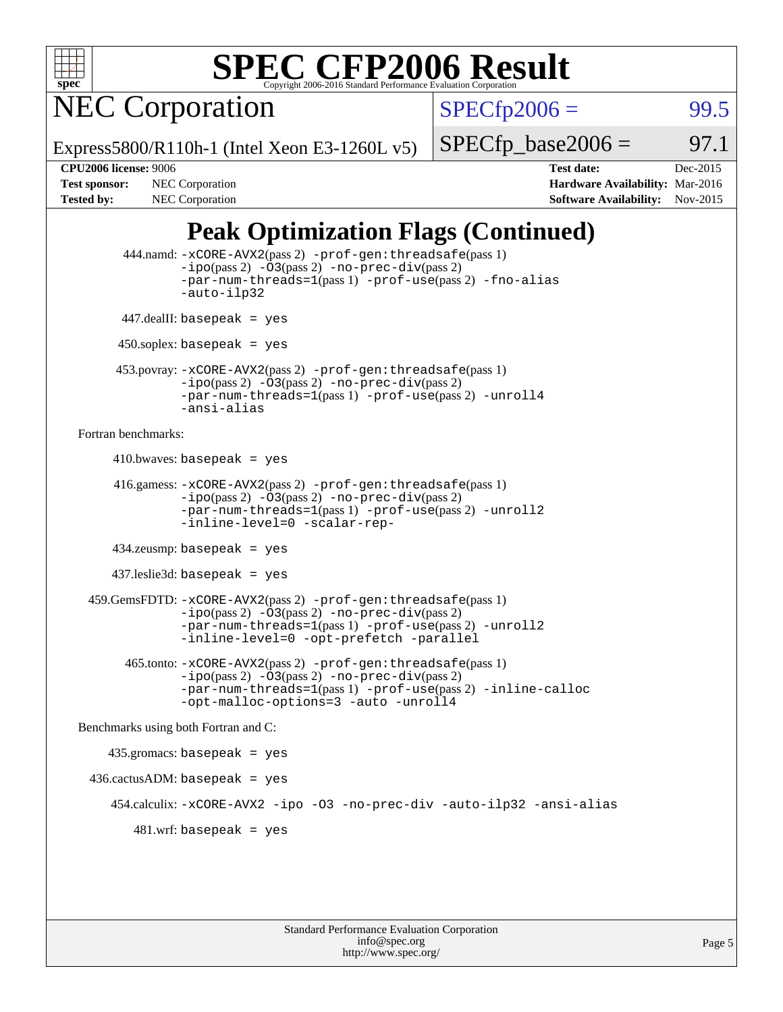

NEC Corporation

 $SPECTp2006 =$  99.5

Express5800/R110h-1 (Intel Xeon E3-1260L v5)

 $SPECTp\_base2006 =$  97.1

**[CPU2006 license:](http://www.spec.org/auto/cpu2006/Docs/result-fields.html#CPU2006license)** 9006 **[Test date:](http://www.spec.org/auto/cpu2006/Docs/result-fields.html#Testdate)** Dec-2015 **[Test sponsor:](http://www.spec.org/auto/cpu2006/Docs/result-fields.html#Testsponsor)** NEC Corporation **NEC Corporation [Hardware Availability:](http://www.spec.org/auto/cpu2006/Docs/result-fields.html#HardwareAvailability)** Mar-2016 [Tested by:](http://www.spec.org/auto/cpu2006/Docs/result-fields.html#Testedby) NEC Corporation **[Software Availability:](http://www.spec.org/auto/cpu2006/Docs/result-fields.html#SoftwareAvailability)** Nov-2015

### **[Peak Optimization Flags \(Continued\)](http://www.spec.org/auto/cpu2006/Docs/result-fields.html#PeakOptimizationFlags)**

```
 444.namd: -xCORE-AVX2(pass 2) -prof-gen:threadsafe(pass 1)
               -ipo(pass 2) -03(pass 2) -no-prec-div(pass 2)
               -par-num-threads=1(pass 1) -prof-use(pass 2) -fno-alias
               -auto-ilp32
      447.dealII: basepeak = yes
       450.soplex: basepeak = yes
      453.povray: -xCORE-AVX2(pass 2) -prof-gen:threadsafe(pass 1)
               -no-prec-div(pass 2)-par-num-threads=1(pass 1) -prof-use(pass 2) -unroll4
               -ansi-alias
Fortran benchmarks: 
     410.bwaves: basepeak = yes 416.gamess: -xCORE-AVX2(pass 2) -prof-gen:threadsafe(pass 1)
               -ipo(pass 2) -03(pass 2) -no-prec-div(pass 2)-par-num-threads=1(pass 1) -prof-use(pass 2) -unroll2
               -inline-level=0 -scalar-rep-
      434.zeusmp: basepeak = yes
      437.leslie3d: basepeak = yes
  459.GemsFDTD: -xCORE-AVX2(pass 2) -prof-gen:threadsafe(pass 1)
               -i\text{po}(pass 2) -\tilde{O}3(pass 2)-no-prec-div(pass 2)
               -par-num-threads=1(pass 1) -prof-use(pass 2) -unroll2
               -inline-level=0 -opt-prefetch -parallel
        465.tonto: -xCORE-AVX2(pass 2) -prof-gen:threadsafe(pass 1)
               -no-prec-div(pass 2)-par-num-threads=1(pass 1) -prof-use(pass 2) -inline-calloc
               -opt-malloc-options=3 -auto -unroll4
Benchmarks using both Fortran and C: 
     435.gromacs: basepeak = yes
  436.cactusADM: basepeak = yes
      454.calculix: -xCORE-AVX2 -ipo -O3 -no-prec-div -auto-ilp32 -ansi-alias
        481 \text{.m}: basepeak = yes
```